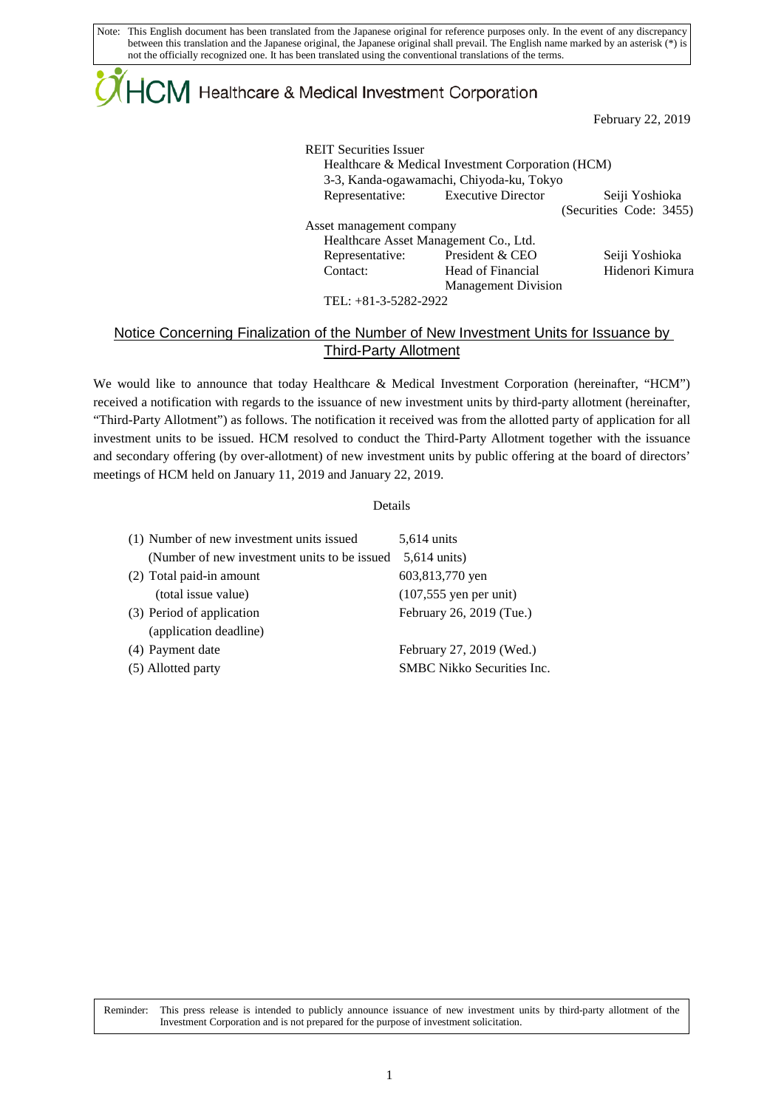Note: This English document has been translated from the Japanese original for reference purposes only. In the event of any discrepancy between this translation and the Japanese original, the Japanese original shall prevail. The English name marked by an asterisk (\*) is not the officially recognized one. It has been translated using the conventional translations of the terms.

## ${4}$ CM Healthcare & Medical Investment Corporation

February 22, 2019

REIT Securities Issuer Healthcare & Medical Investment Corporation (HCM) 3-3, Kanda-ogawamachi, Chiyoda-ku, Tokyo Representative: Executive Director Seiji Yoshioka (Securities Code: 3455) Asset management company Healthcare Asset Management Co., Ltd. Representative: President & CEO Seiji Yoshioka Contact: Head of Financial Management Division Hidenori Kimura

TEL: +81-3-5282-2922

## Notice Concerning Finalization of the Number of New Investment Units for Issuance by Third-Party Allotment

We would like to announce that today Healthcare & Medical Investment Corporation (hereinafter, "HCM") received a notification with regards to the issuance of new investment units by third-party allotment (hereinafter, "Third-Party Allotment") as follows. The notification it received was from the allotted party of application for all investment units to be issued. HCM resolved to conduct the Third-Party Allotment together with the issuance and secondary offering (by over-allotment) of new investment units by public offering at the board of directors' meetings of HCM held on January 11, 2019 and January 22, 2019.

## Details

| (1) Number of new investment units issued    | 5,614 units                       |
|----------------------------------------------|-----------------------------------|
| (Number of new investment units to be issued | $5,614 \text{ units}$             |
| (2) Total paid-in amount                     | 603,813,770 yen                   |
| (total issue value)                          | $(107, 555$ yen per unit)         |
| (3) Period of application                    | February 26, 2019 (Tue.)          |
| (application deadline)                       |                                   |
| (4) Payment date                             | February 27, 2019 (Wed.)          |
| (5) Allotted party                           | <b>SMBC</b> Nikko Securities Inc. |

Reminder: This press release is intended to publicly announce issuance of new investment units by third-party allotment of the Investment Corporation and is not prepared for the purpose of investment solicitation.